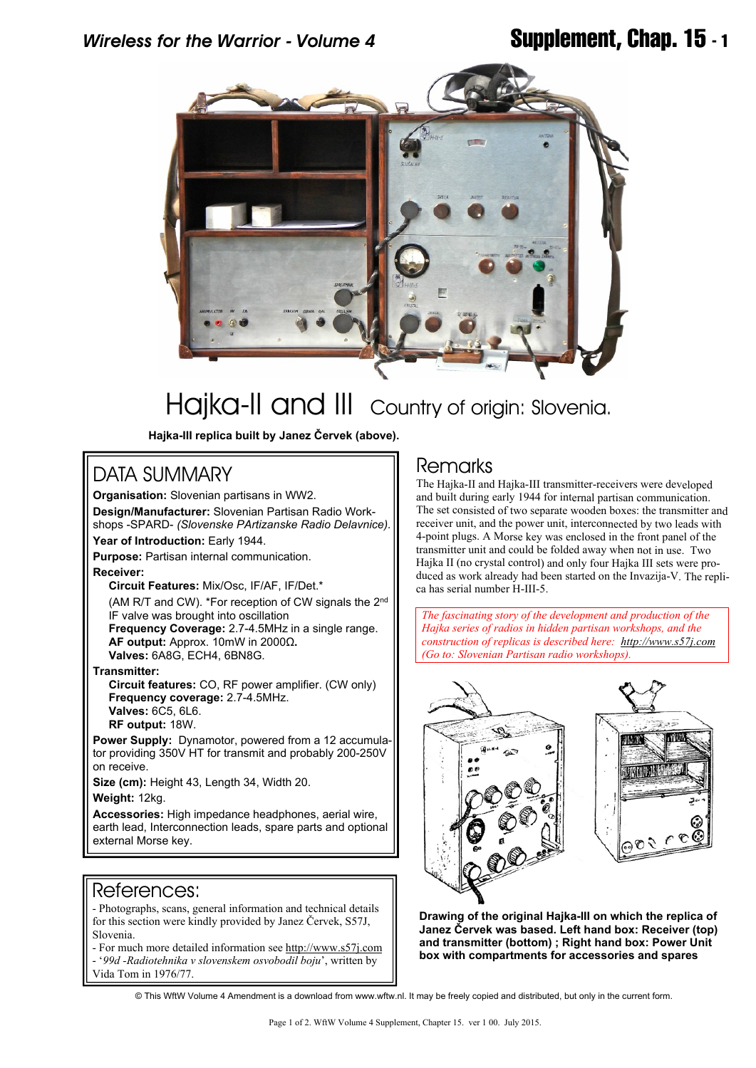# *Wireless for the Warrior - Volume 4* **Supplement, Chap. 15 - 1**



# Haika-II and III Country of origin: Slovenia.

**Hajka-III replica built by Janez Červek (above).**

# DATA SUMMARY

**Organisation:** Slovenian partisans in WW2. **Design/Manufacturer:** Slovenian Partisan Radio Workshops -SPARD- *(Slovenske PArtizanske Radio Delavnice).*

**Year of Introduction:** Early 1944.

**Purpose:** Partisan internal communication.

**Receiver:**

 **Circuit Features:** Mix/Osc, IF/AF, IF/Det.\*

 (AM R/T and CW). \*For reception of CW signals the 2nd IF valve was brought into oscillation  **Frequency Coverage:** 2.7-4.5MHz in a single range.  **AF output:** Approx. 10mW in 2000Ω**.**

 **Valves:** 6A8G, ECH4, 6BN8G.

**Transmitter:**

**Circuit features:** CO, RF power amplifier. (CW only) **Frequency coverage:** 2.7-4.5MHz. **Valves:** 6C5, 6L6. **RF output:** 18W.

**Power Supply:** Dynamotor, powered from a 12 accumulator providing 350V HT for transmit and probably 200-250V on receive.

**Size (cm):** Height 43, Length 34, Width 20.

**Weight:** 12kg.

Accessories: High impedance headphones, aerial wire, earth lead, Interconnection leads, spare parts and optional external Morse key.

### References:

- Photographs, scans, general information and technical details for this section were kindly provided by Janez Červek, S57J, Slovenia.

- For much more detailed information see <http://www.s57j.com> - '*99d -Radiotehnika v slovenskem osvobodil boju*', written by Vida Tom in 1976/77.

## Remarks

The Hajka-II and Hajka-III transmitter-receivers were developed and built during early 1944 for internal partisan communication. The set consisted of two separate wooden boxes: the transmitter and receiver unit, and the power unit, interconnected by two leads with 4-point plugs. A Morse key was enclosed in the front panel of the transmitter unit and could be folded away when not in use. Two Hajka II (no crystal control) and only four Hajka III sets were produced as work already had been started on the Invazija-V. The replica has serial number H-III-5.

*The fascinating story of the development and production of the Hajka series of radios in hidden partisan workshops, and the construction of replicas is described here: <http://www.s57j.com> (Go to: Slovenian Partisan radio workshops).*



**Drawing of the original Hajka-III on which the replica of Janez Červek was based. Left hand box: Receiver (top) and transmitter (bottom) ; Right hand box: Power Unit box with compartments for accessories and spares**

© This WftW Volume 4 Amendment is a download from www.wftw.nl. It may be freely copied and distributed, but only in the current form.